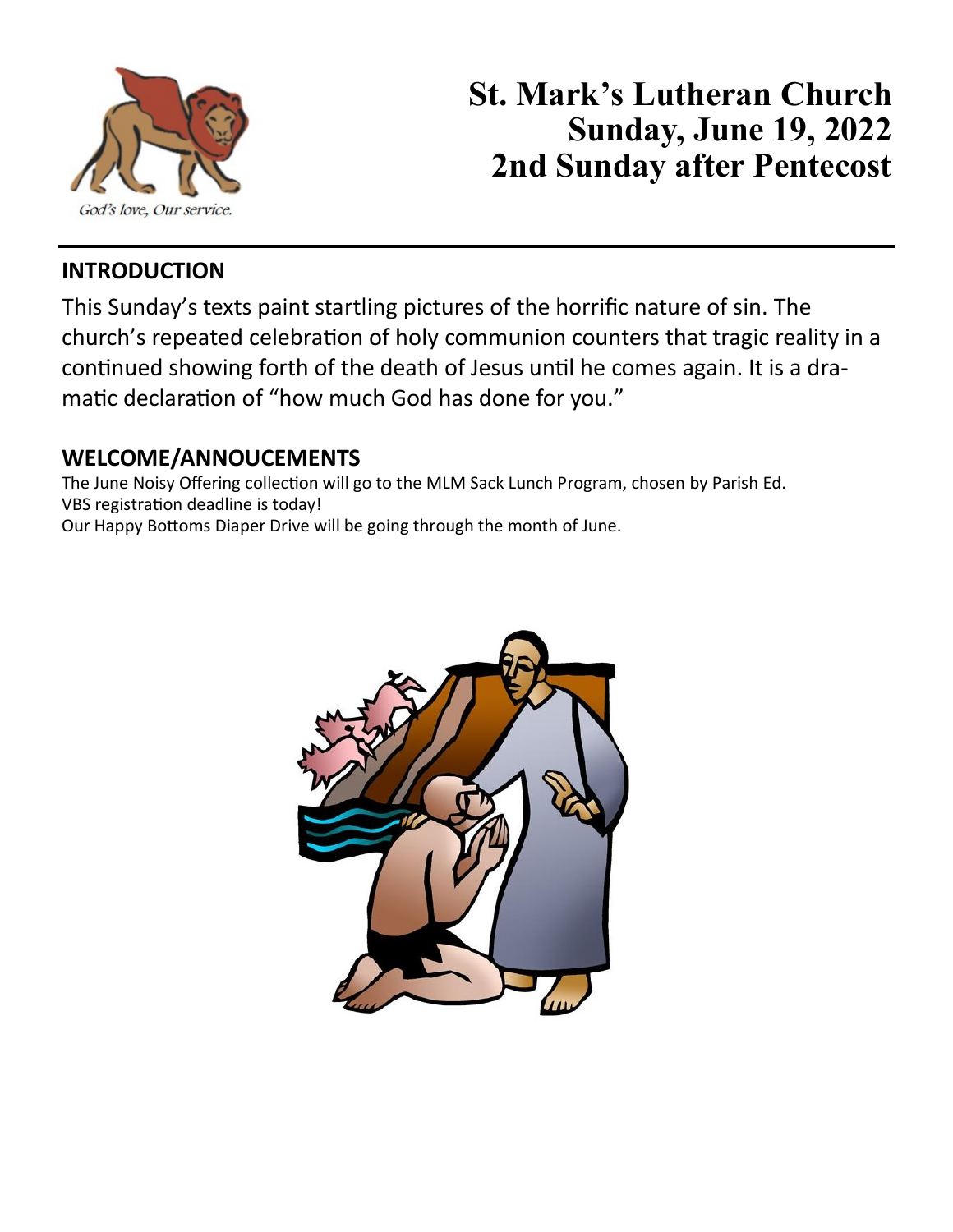

# **St. Mark's Lutheran Church Sunday, June 19, 2022 2nd Sunday after Pentecost**

## **INTRODUCTION**

This Sunday's texts paint startling pictures of the horrific nature of sin. The church's repeated celebration of holy communion counters that tragic reality in a continued showing forth of the death of Jesus until he comes again. It is a dramatic declaration of "how much God has done for you."

#### **WELCOME/ANNOUCEMENTS**

The June Noisy Offering collection will go to the MLM Sack Lunch Program, chosen by Parish Ed. VBS registration deadline is today! Our Happy Bottoms Diaper Drive will be going through the month of June.

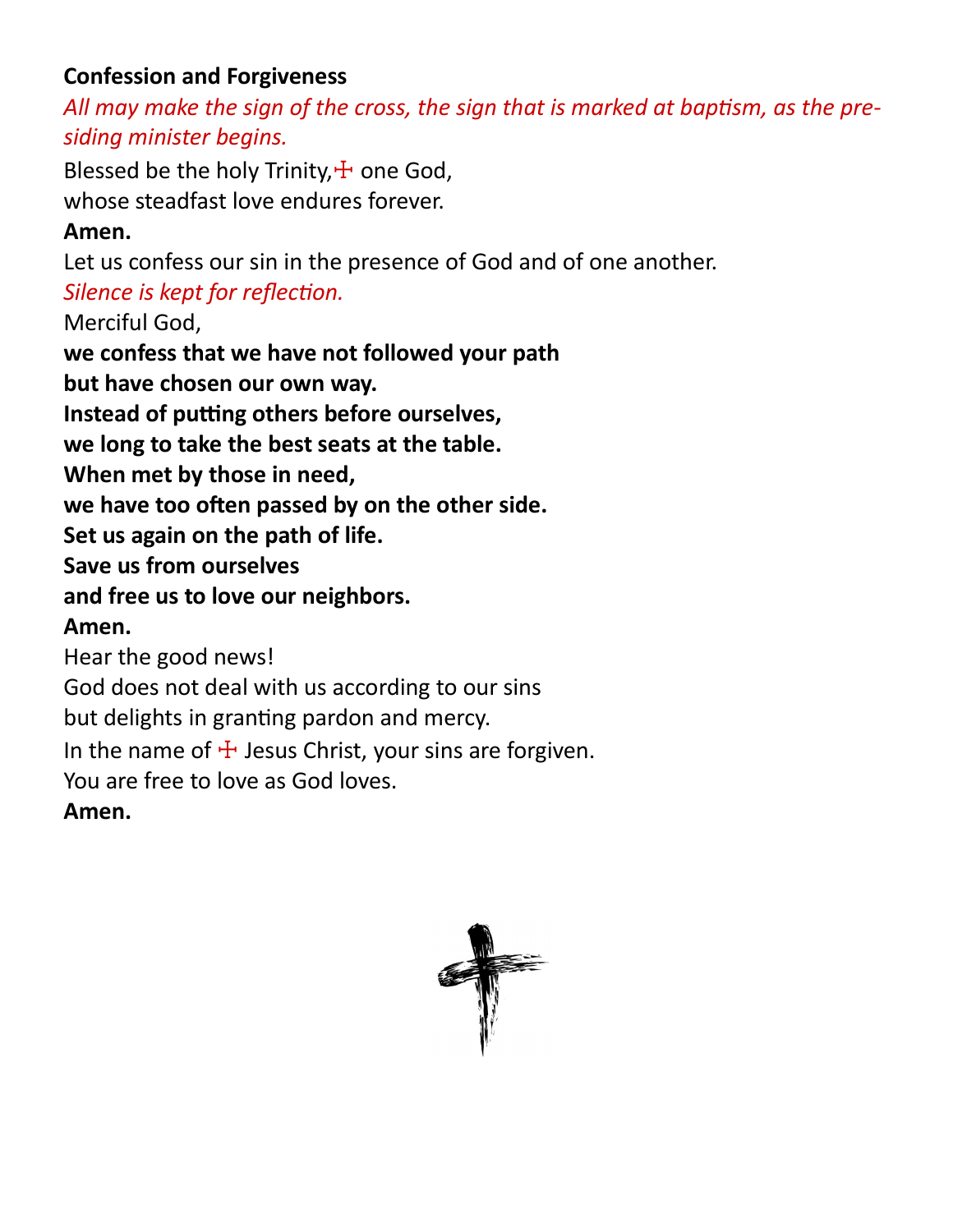# **Confession and Forgiveness**

*All may make the sign of the cross, the sign that is marked at baptism, as the presiding minister begins.*

Blessed be the holy Trinity, $\pm$  one God, whose steadfast love endures forever.

# **Amen.**

Let us confess our sin in the presence of God and of one another.

*Silence is kept for reflection.*

Merciful God,

**we confess that we have not followed your path**

**but have chosen our own way.**

**Instead of putting others before ourselves,**

**we long to take the best seats at the table.**

**When met by those in need,**

**we have too often passed by on the other side.**

**Set us again on the path of life.**

**Save us from ourselves**

**and free us to love our neighbors.**

# **Amen.**

Hear the good news!

God does not deal with us according to our sins

but delights in granting pardon and mercy.

In the name of  $\pm$  Jesus Christ, your sins are forgiven.

You are free to love as God loves.

# **Amen.**

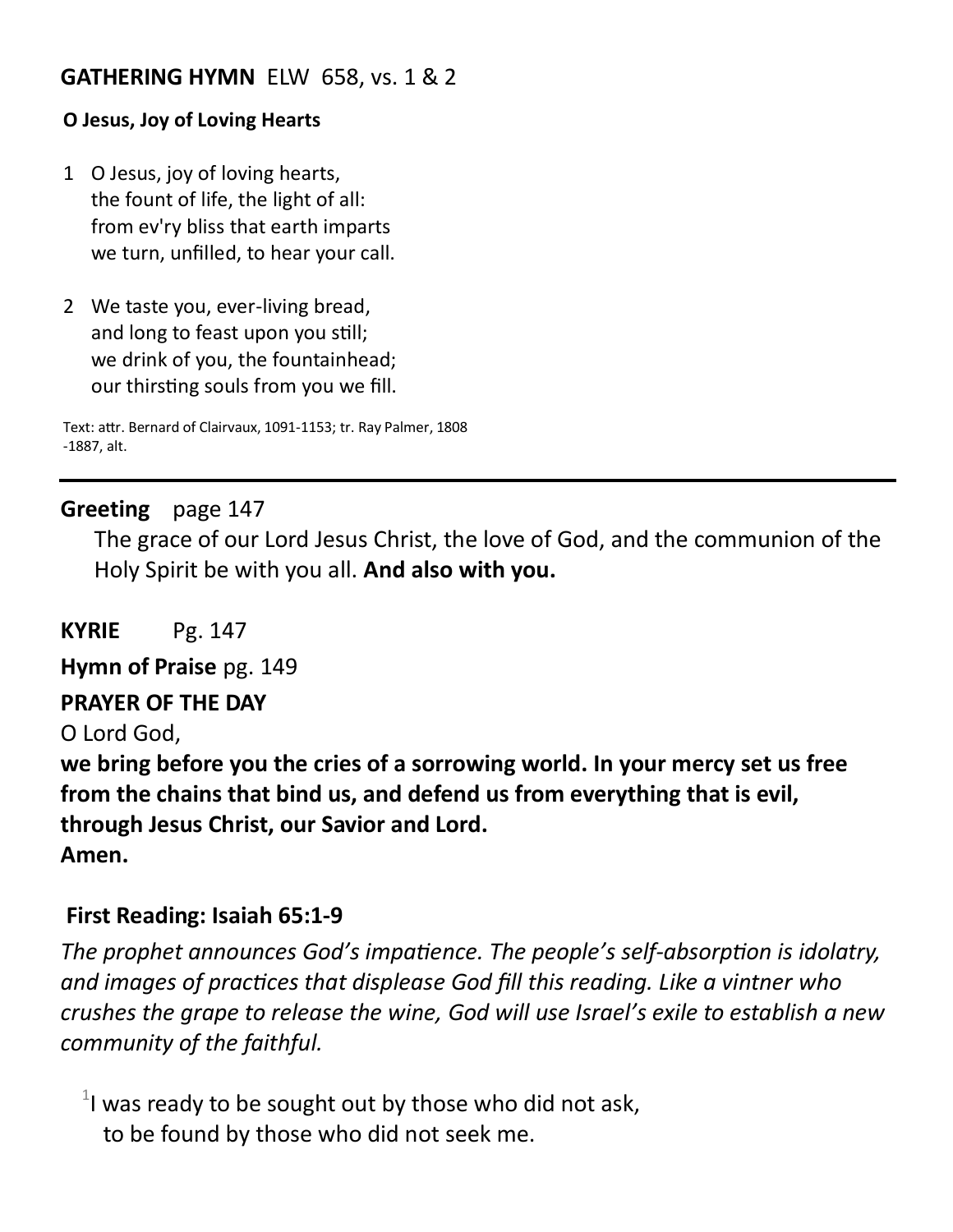#### **GATHERING HYMN** ELW 658, vs. 1 & 2

#### **O Jesus, Joy of Loving Hearts**

- 1 O Jesus, joy of loving hearts, the fount of life, the light of all: from ev'ry bliss that earth imparts we turn, unfilled, to hear your call.
- 2 We taste you, ever-living bread, and long to feast upon you still; we drink of you, the fountainhead; our thirsting souls from you we fill.

Text: attr. Bernard of Clairvaux, 1091-1153; tr. Ray Palmer, 1808 -1887, alt.

#### **Greeting** page 147

The grace of our Lord Jesus Christ, the love of God, and the communion of the Holy Spirit be with you all. **And also with you.**

**KYRIE** Pg. 147

**Hymn of Praise** pg. 149

#### **PRAYER OF THE DAY**

O Lord God,

**we bring before you the cries of a sorrowing world. In your mercy set us free from the chains that bind us, and defend us from everything that is evil, through Jesus Christ, our Savior and Lord.**

**Amen.**

#### **First Reading: Isaiah 65:1-9**

*The prophet announces God's impatience. The people's self-absorption is idolatry, and images of practices that displease God fill this reading. Like a vintner who crushes the grape to release the wine, God will use Israel's exile to establish a new community of the faithful.*

 $1$  was ready to be sought out by those who did not ask, to be found by those who did not seek me.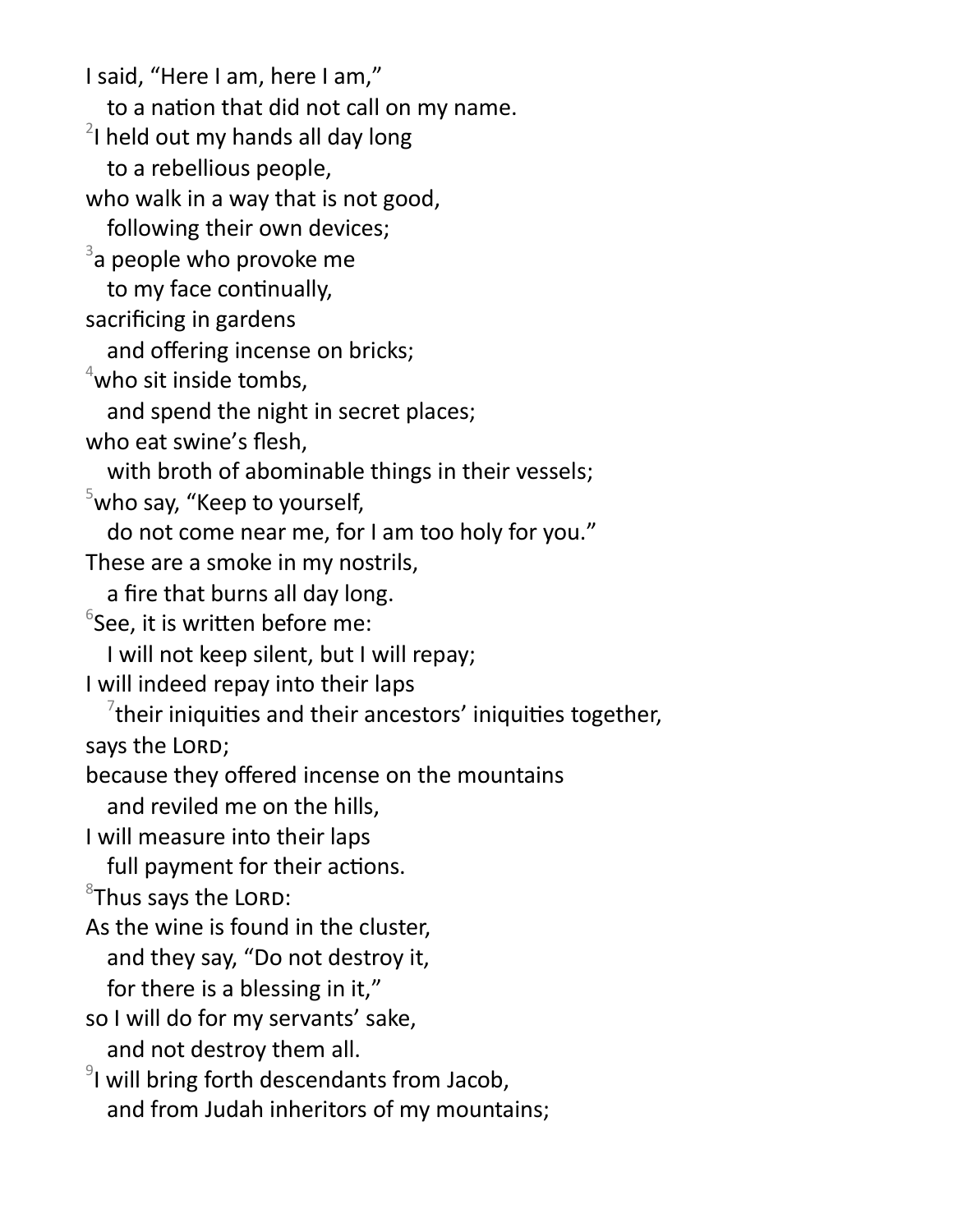I said, "Here I am, here I am," to a nation that did not call on my name.  $2$ I held out my hands all day long to a rebellious people, who walk in a way that is not good, following their own devices;  $3$ a people who provoke me to my face continually, sacrificing in gardens and offering incense on bricks;  $4$ who sit inside tombs, and spend the night in secret places; who eat swine's flesh, with broth of abominable things in their vessels;  $5$ who say, "Keep to yourself, do not come near me, for I am too holy for you." These are a smoke in my nostrils, a fire that burns all day long.  $6$ See, it is written before me: I will not keep silent, but I will repay; I will indeed repay into their laps  $\mathrm{^{7}}$ their iniquities and their ancestors' iniquities together, says the LORD; because they offered incense on the mountains and reviled me on the hills, I will measure into their laps full payment for their actions.  ${}^{8}$ Thus says the LORD: As the wine is found in the cluster, and they say, "Do not destroy it, for there is a blessing in it," so I will do for my servants' sake, and not destroy them all.  $9$ I will bring forth descendants from Jacob, and from Judah inheritors of my mountains;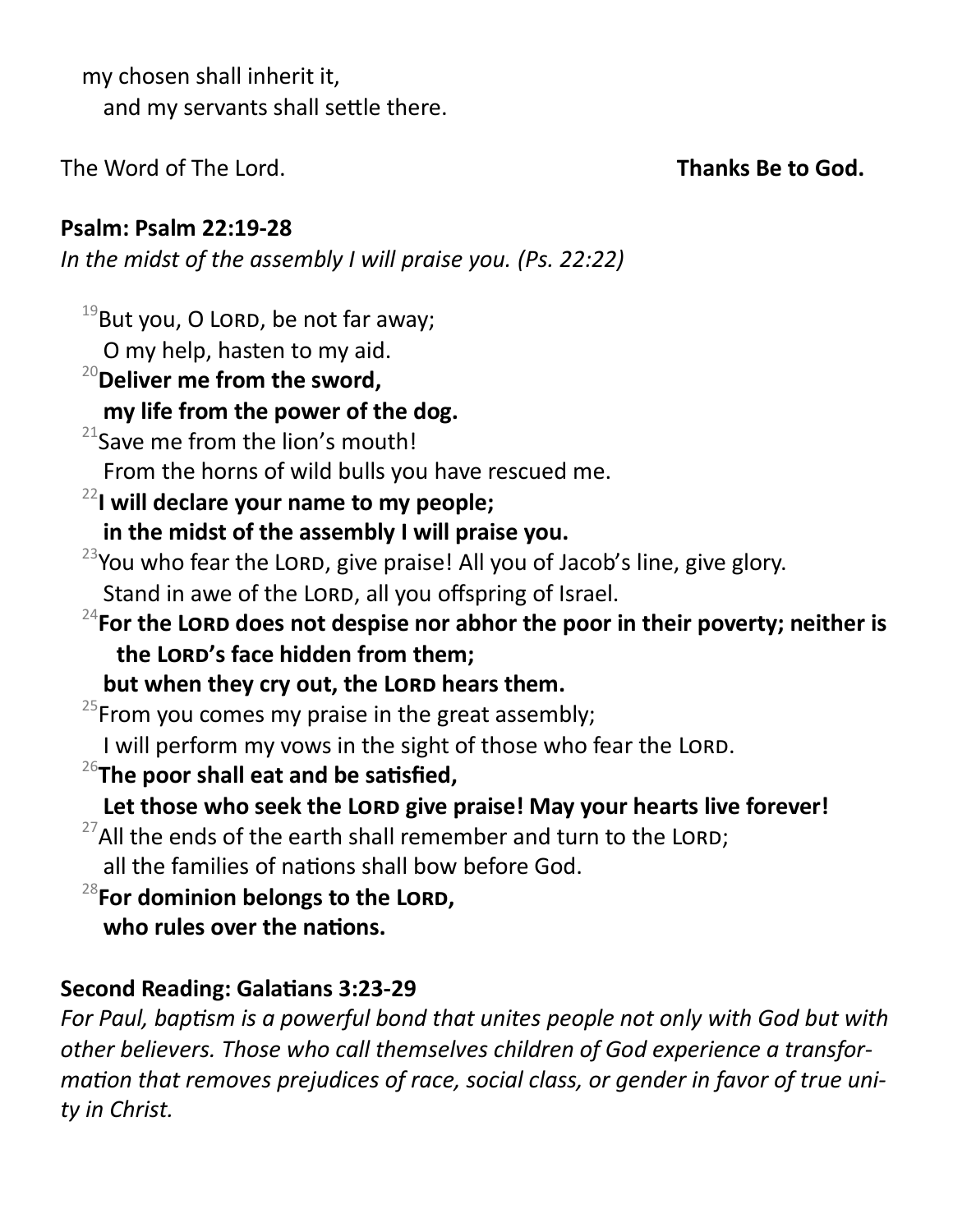my chosen shall inherit it, and my servants shall settle there.

The Word of The Lord. **Thanks Be to God.** 

# **Psalm: Psalm 22:19-28**

*In the midst of the assembly I will praise you. (Ps. 22:22)*

 $19$ But you, O LORD, be not far away; O my help, hasten to my aid.

## <sup>20</sup>**Deliver me from the sword, my life from the power of the dog.**

 $21$ Save me from the lion's mouth!

From the horns of wild bulls you have rescued me.

# <sup>22</sup>**I will declare your name to my people;**

- **in the midst of the assembly I will praise you.**
- $23$ You who fear the LORD, give praise! All you of Jacob's line, give glory. Stand in awe of the LORD, all you offspring of Israel.
- <sup>24</sup> For the LORD does not despise nor abhor the poor in their poverty; neither is **the Lord's face hidden from them;**

but when they cry out, the LORD hears them.

 $25$ From you comes my praise in the great assembly;

I will perform my vows in the sight of those who fear the LORD.

<sup>26</sup>**The poor shall eat and be satisfied,**

# Let those who seek the LORD give praise! May your hearts live forever!

- $27$ All the ends of the earth shall remember and turn to the LORD; all the families of nations shall bow before God.
- <sup>28</sup>**For dominion belongs to the Lord, who rules over the nations.**

# **Second Reading: Galatians 3:23-29**

*For Paul, baptism is a powerful bond that unites people not only with God but with other believers. Those who call themselves children of God experience a transformation that removes prejudices of race, social class, or gender in favor of true unity in Christ.*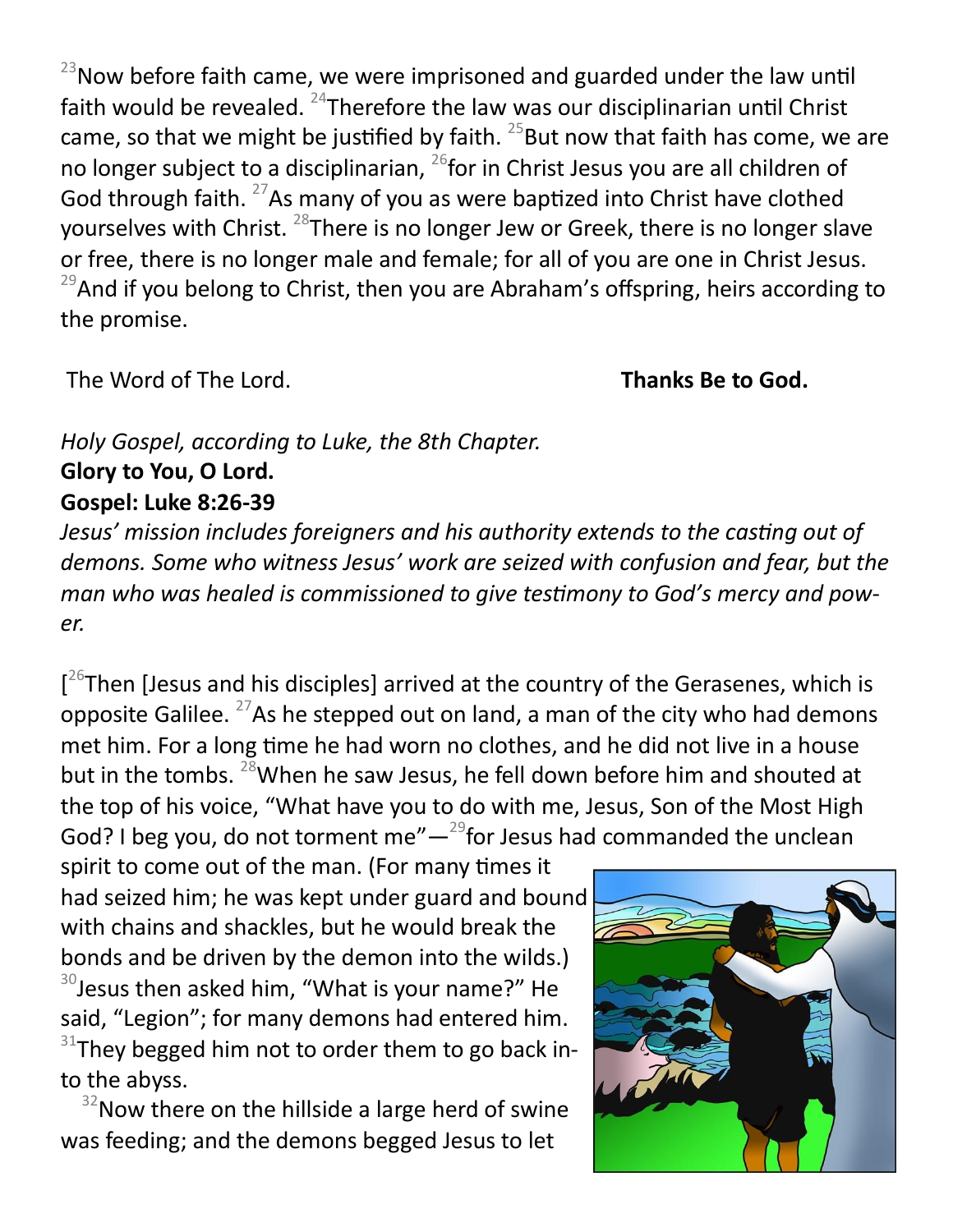$23$ Now before faith came, we were imprisoned and guarded under the law until faith would be revealed.  $^{24}$ Therefore the law was our disciplinarian until Christ came, so that we might be justified by faith.  $25$ But now that faith has come, we are no longer subject to a disciplinarian, <sup>26</sup>for in Christ Jesus you are all children of God through faith.  $27$ As many of you as were baptized into Christ have clothed yourselves with Christ. <sup>28</sup>There is no longer Jew or Greek, there is no longer slave or free, there is no longer male and female; for all of you are one in Christ Jesus.  $29$ And if you belong to Christ, then you are Abraham's offspring, heirs according to the promise.

The Word of The Lord. **Thanks Be to God.** 

# *Holy Gospel, according to Luke, the 8th Chapter.* **Glory to You, O Lord. Gospel: Luke 8:26-39**

*Jesus' mission includes foreigners and his authority extends to the casting out of demons. Some who witness Jesus' work are seized with confusion and fear, but the man who was healed is commissioned to give testimony to God's mercy and power.*

[<sup>26</sup>Then [Jesus and his disciples] arrived at the country of the Gerasenes, which is opposite Galilee.  $27$ As he stepped out on land, a man of the city who had demons met him. For a long time he had worn no clothes, and he did not live in a house but in the tombs. <sup>28</sup>When he saw Jesus, he fell down before him and shouted at the top of his voice, "What have you to do with me, Jesus, Son of the Most High God? I beg you, do not torment me" $-$ <sup>29</sup>for Jesus had commanded the unclean

spirit to come out of the man. (For many times it had seized him; he was kept under guard and bound with chains and shackles, but he would break the bonds and be driven by the demon into the wilds.)  $30$  Jesus then asked him, "What is your name?" He said, "Legion"; for many demons had entered him.  $31$ They begged him not to order them to go back into the abyss.

 $32$ Now there on the hillside a large herd of swine was feeding; and the demons begged Jesus to let

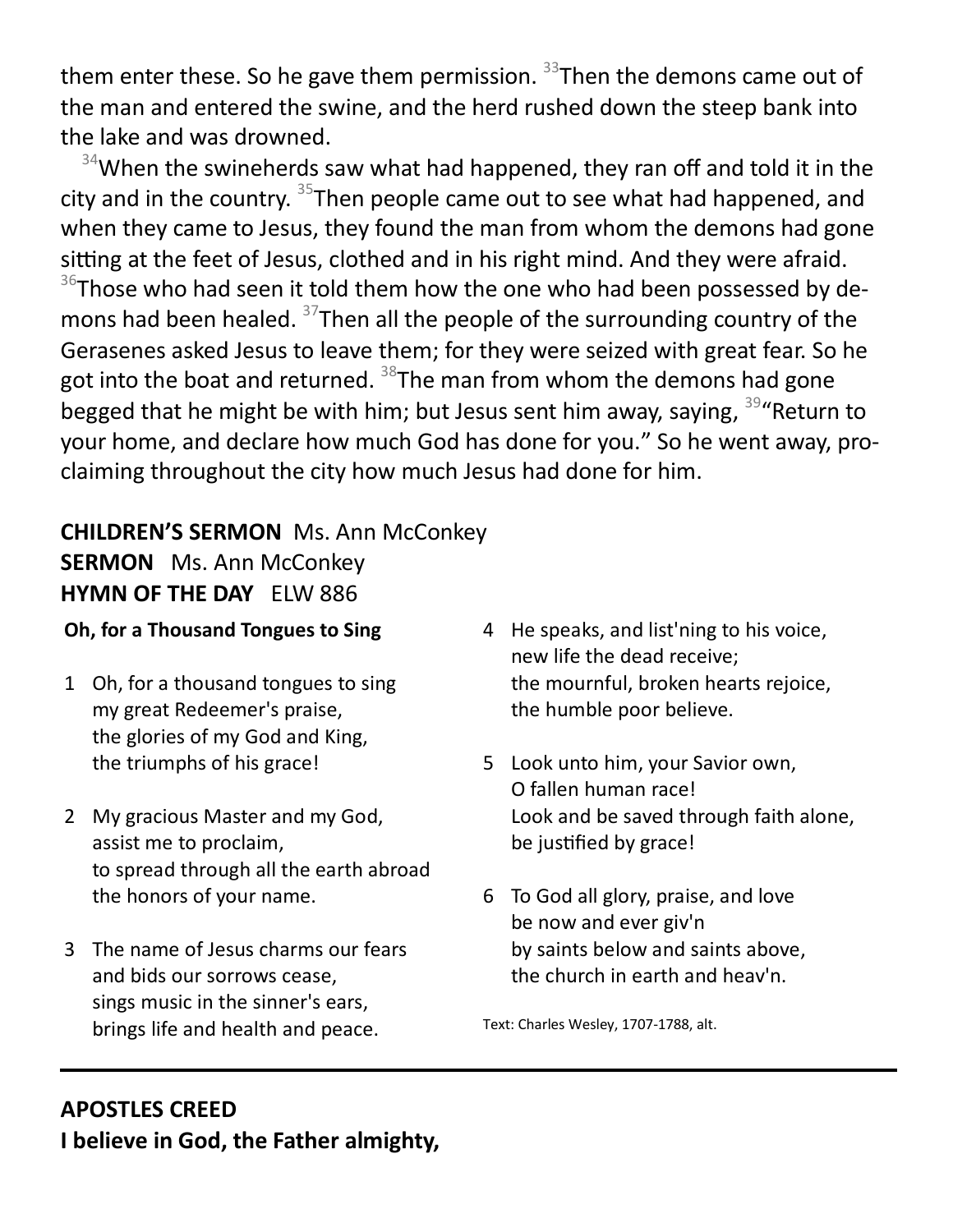them enter these. So he gave them permission.  $33$ Then the demons came out of the man and entered the swine, and the herd rushed down the steep bank into the lake and was drowned.

 $34$ When the swineherds saw what had happened, they ran off and told it in the city and in the country. <sup>35</sup>Then people came out to see what had happened, and when they came to Jesus, they found the man from whom the demons had gone sitting at the feet of Jesus, clothed and in his right mind. And they were afraid.  $36$ Those who had seen it told them how the one who had been possessed by demons had been healed.  $37$ Then all the people of the surrounding country of the Gerasenes asked Jesus to leave them; for they were seized with great fear. So he got into the boat and returned.  $38$ The man from whom the demons had gone begged that he might be with him; but Jesus sent him away, saying, <sup>39</sup> Return to your home, and declare how much God has done for you." So he went away, proclaiming throughout the city how much Jesus had done for him.

#### **CHILDREN'S SERMON** Ms. Ann McConkey **SERMON** Ms. Ann McConkey **HYMN OF THE DAY** ELW 886

#### **Oh, for a Thousand Tongues to Sing**

- 1 Oh, for a thousand tongues to sing my great Redeemer's praise, the glories of my God and King, the triumphs of his grace!
- 2 My gracious Master and my God, assist me to proclaim, to spread through all the earth abroad the honors of your name.
- 3 The name of Jesus charms our fears and bids our sorrows cease, sings music in the sinner's ears, brings life and health and peace.
- 4 He speaks, and list'ning to his voice, new life the dead receive; the mournful, broken hearts rejoice, the humble poor believe.
- 5 Look unto him, your Savior own, O fallen human race! Look and be saved through faith alone, be justified by grace!
- 6 To God all glory, praise, and love be now and ever giv'n by saints below and saints above, the church in earth and heav'n.

Text: Charles Wesley, 1707-1788, alt.

#### **APOSTLES CREED I believe in God, the Father almighty,**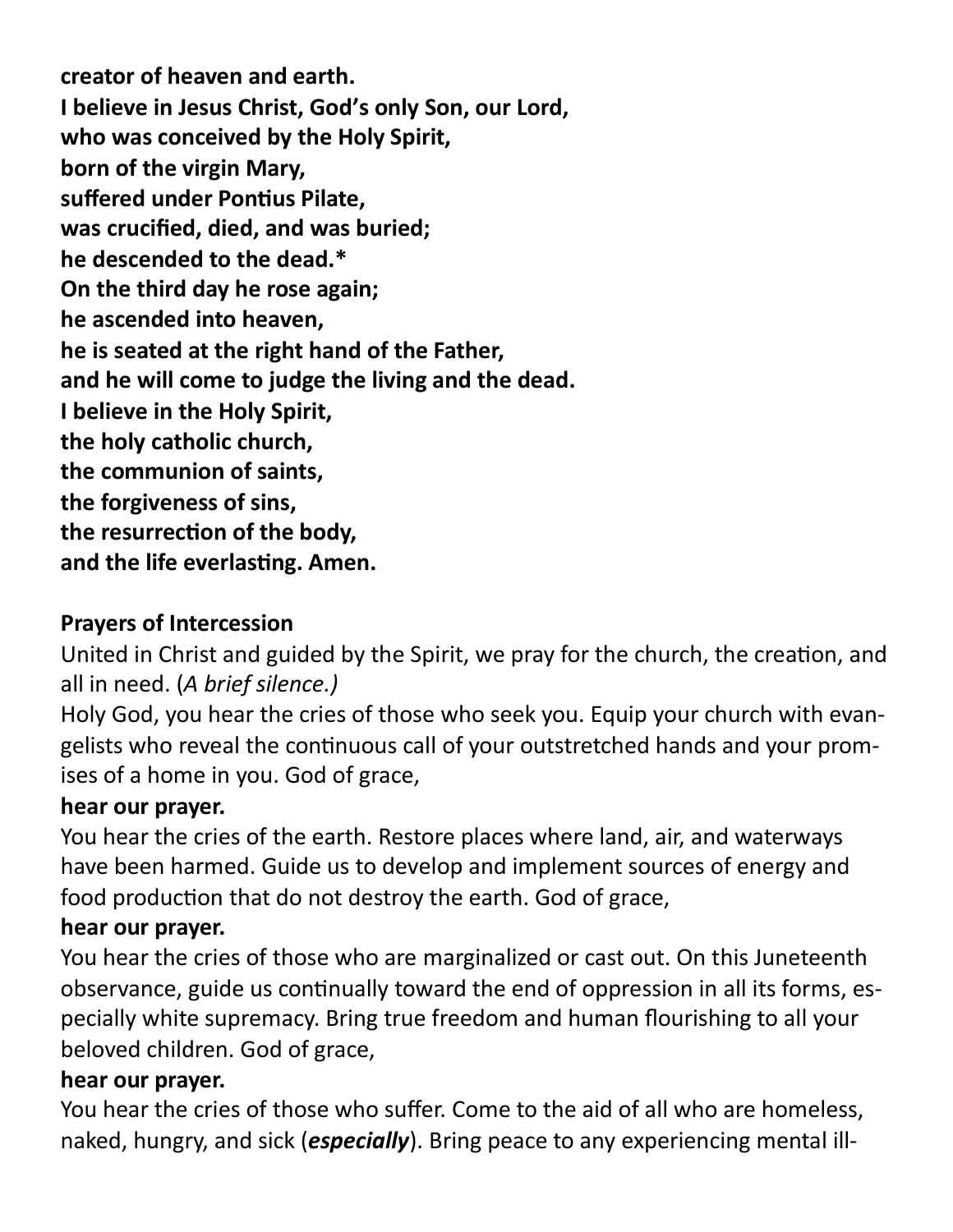**creator of heaven and earth. I believe in Jesus Christ, God's only Son, our Lord, who was conceived by the Holy Spirit, born of the virgin Mary, suffered under Pontius Pilate, was crucified, died, and was buried; he descended to the dead.\* On the third day he rose again; he ascended into heaven, he is seated at the right hand of the Father, and he will come to judge the living and the dead. I believe in the Holy Spirit, the holy catholic church, the communion of saints, the forgiveness of sins, the resurrection of the body, and the life everlasting. Amen.**

# **Prayers of Intercession**

United in Christ and guided by the Spirit, we pray for the church, the creation, and all in need. (*A brief silence.)*

Holy God, you hear the cries of those who seek you. Equip your church with evangelists who reveal the continuous call of your outstretched hands and your promises of a home in you. God of grace,

## **hear our prayer.**

You hear the cries of the earth. Restore places where land, air, and waterways have been harmed. Guide us to develop and implement sources of energy and food production that do not destroy the earth. God of grace,

## **hear our prayer.**

You hear the cries of those who are marginalized or cast out. On this Juneteenth observance, guide us continually toward the end of oppression in all its forms, especially white supremacy. Bring true freedom and human flourishing to all your beloved children. God of grace,

## **hear our prayer.**

You hear the cries of those who suffer. Come to the aid of all who are homeless, naked, hungry, and sick (*especially*). Bring peace to any experiencing mental ill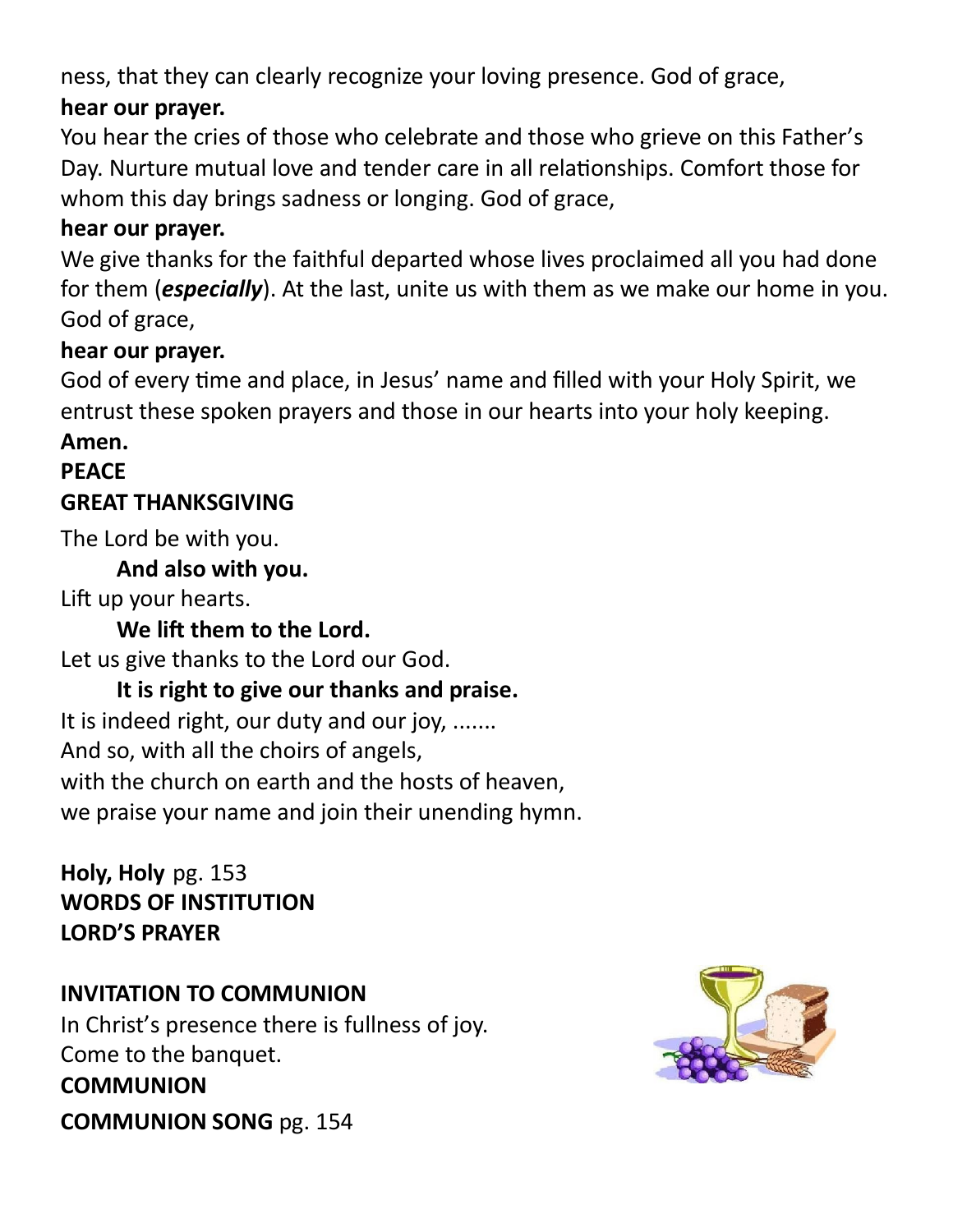ness, that they can clearly recognize your loving presence. God of grace,

## **hear our prayer.**

You hear the cries of those who celebrate and those who grieve on this Father's Day. Nurture mutual love and tender care in all relationships. Comfort those for whom this day brings sadness or longing. God of grace,

## **hear our prayer.**

We give thanks for the faithful departed whose lives proclaimed all you had done for them (*especially*). At the last, unite us with them as we make our home in you. God of grace,

#### **hear our prayer.**

God of every time and place, in Jesus' name and filled with your Holy Spirit, we entrust these spoken prayers and those in our hearts into your holy keeping.

## **Amen.**

# **PEACE**

## **GREAT THANKSGIVING**

The Lord be with you.

#### **And also with you.**

Lift up your hearts.

### **We lift them to the Lord.**

Let us give thanks to the Lord our God.

## **It is right to give our thanks and praise.**

It is indeed right, our duty and our joy, ....... And so, with all the choirs of angels, with the church on earth and the hosts of heaven, we praise your name and join their unending hymn.

## **Holy, Holy** pg. 153 **WORDS OF INSTITUTION LORD'S PRAYER**

## **INVITATION TO COMMUNION**

In Christ's presence there is fullness of joy. Come to the banquet. **COMMUNION COMMUNION SONG** pg. 154

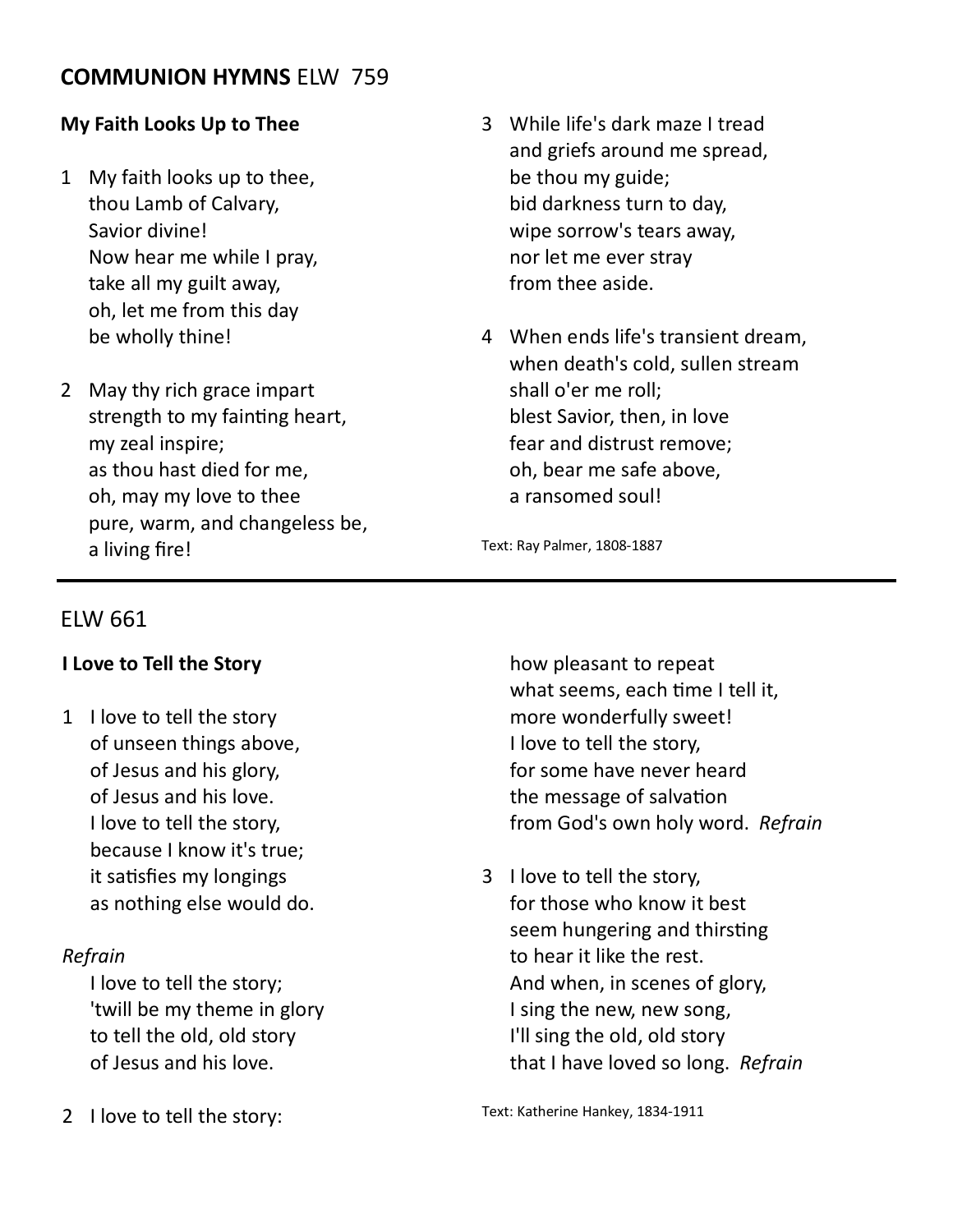#### **COMMUNION HYMNS** ELW 759

#### **My Faith Looks Up to Thee**

- 1 My faith looks up to thee, thou Lamb of Calvary, Savior divine! Now hear me while I pray, take all my guilt away, oh, let me from this day be wholly thine!
- 2 May thy rich grace impart strength to my fainting heart, my zeal inspire; as thou hast died for me, oh, may my love to thee pure, warm, and changeless be, a living fire!
- 3 While life's dark maze I tread and griefs around me spread, be thou my guide; bid darkness turn to day, wipe sorrow's tears away, nor let me ever stray from thee aside.
- 4 When ends life's transient dream, when death's cold, sullen stream shall o'er me roll; blest Savior, then, in love fear and distrust remove; oh, bear me safe above, a ransomed soul!

Text: Ray Palmer, 1808-1887

#### ELW 661

#### **I Love to Tell the Story**

1 I love to tell the story of unseen things above, of Jesus and his glory, of Jesus and his love. I love to tell the story, because I know it's true; it satisfies my longings as nothing else would do.

#### *Refrain*

I love to tell the story; 'twill be my theme in glory to tell the old, old story of Jesus and his love.

2 I love to tell the story:

how pleasant to repeat what seems, each time I tell it, more wonderfully sweet! I love to tell the story, for some have never heard the message of salvation from God's own holy word. *Refrain*

3 I love to tell the story, for those who know it best seem hungering and thirsting to hear it like the rest. And when, in scenes of glory, I sing the new, new song, I'll sing the old, old story that I have loved so long. *Refrain*

Text: Katherine Hankey, 1834-1911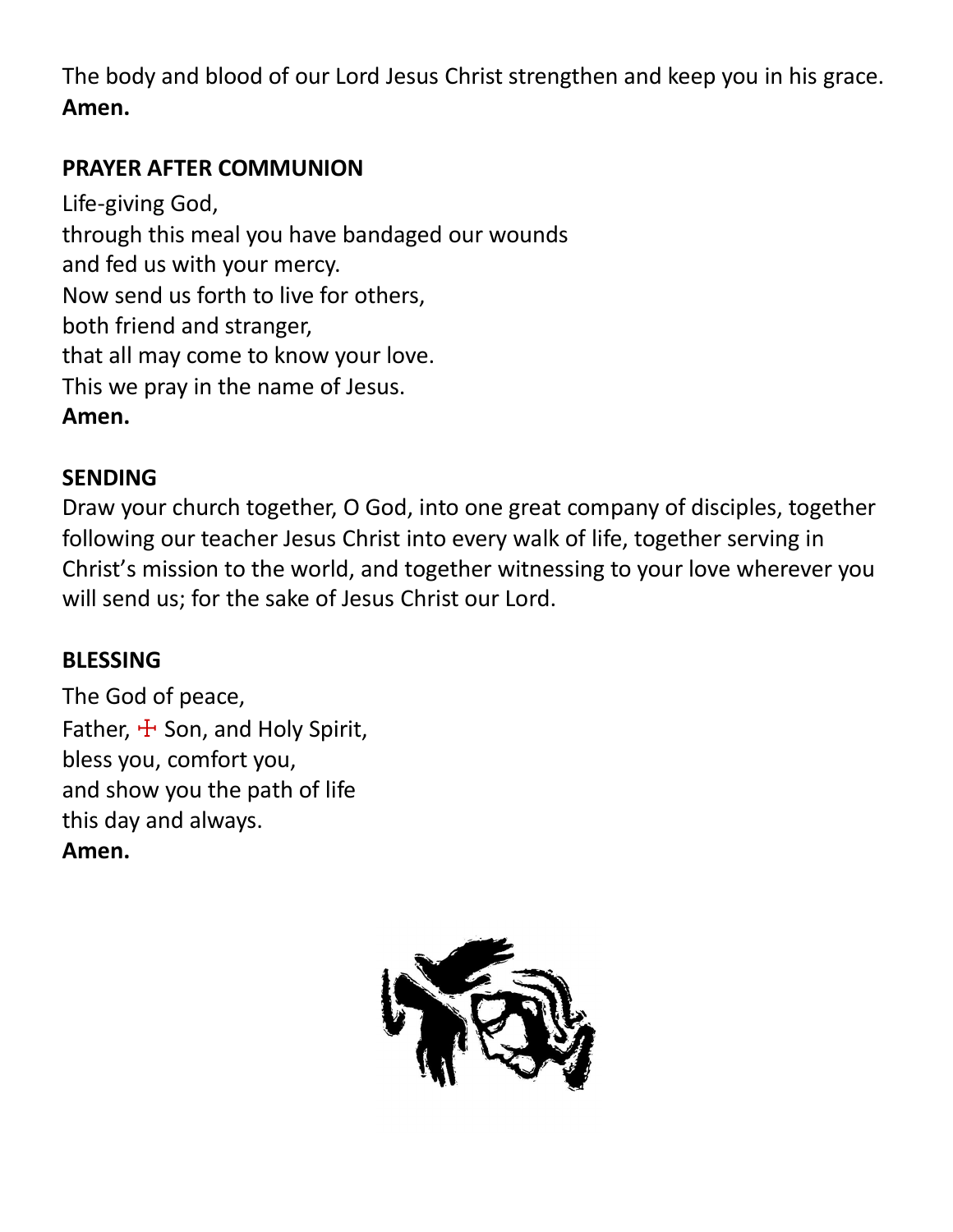The body and blood of our Lord Jesus Christ strengthen and keep you in his grace. **Amen.**

# **PRAYER AFTER COMMUNION**

Life-giving God, through this meal you have bandaged our wounds and fed us with your mercy. Now send us forth to live for others, both friend and stranger, that all may come to know your love. This we pray in the name of Jesus. **Amen.**

## **SENDING**

Draw your church together, O God, into one great company of disciples, together following our teacher Jesus Christ into every walk of life, together serving in Christ's mission to the world, and together witnessing to your love wherever you will send us; for the sake of Jesus Christ our Lord.

# **BLESSING**

The God of peace, Father,  $\pm$  Son, and Holy Spirit, bless you, comfort you, and show you the path of life this day and always. **Amen.**

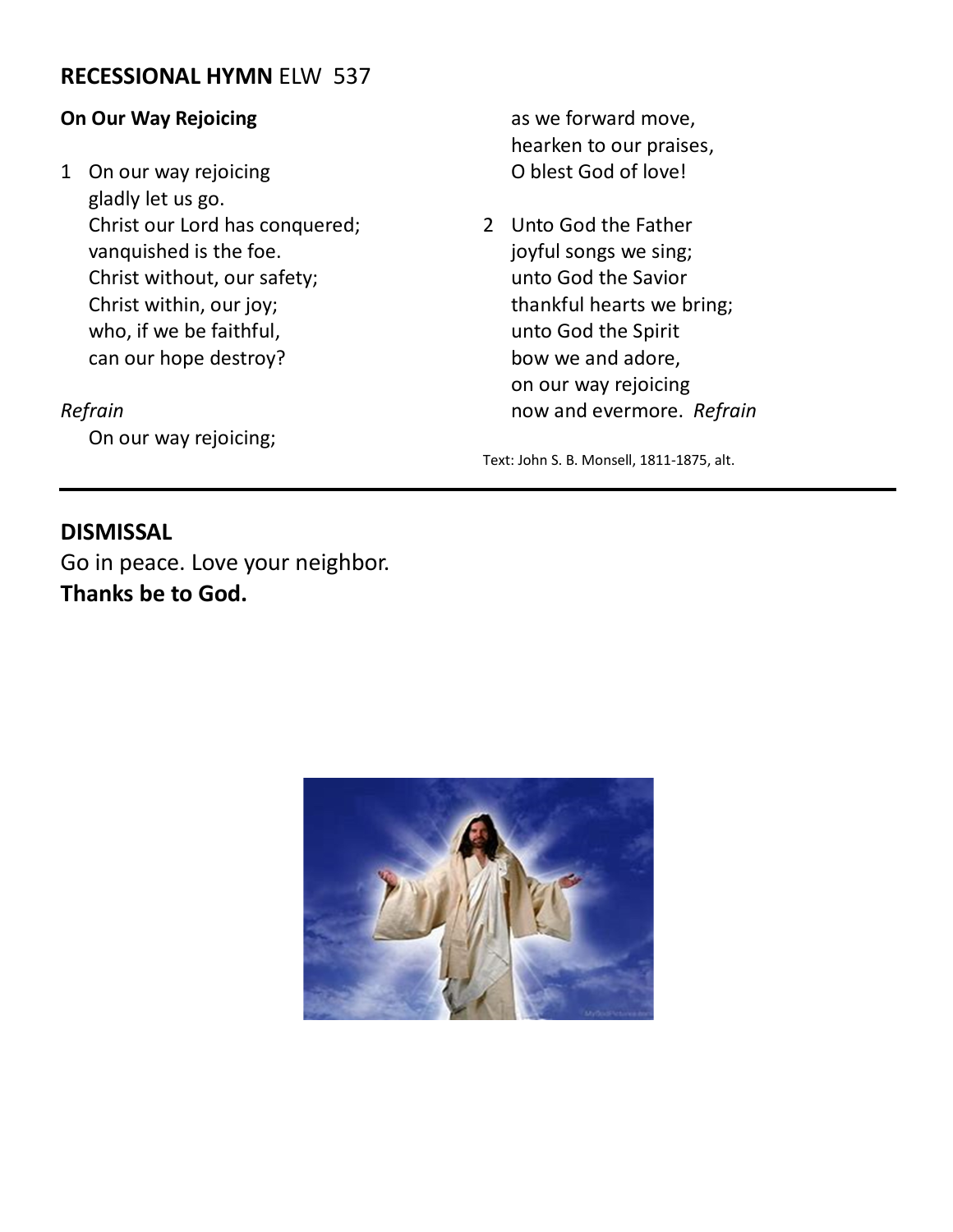#### **RECESSIONAL HYMN** ELW 537

#### **On Our Way Rejoicing**

1 On our way rejoicing gladly let us go. Christ our Lord has conquered; vanquished is the foe. Christ without, our safety; Christ within, our joy; who, if we be faithful, can our hope destroy?

*Refrain*

On our way rejoicing;

as we forward move, hearken to our praises, O blest God of love!

2 Unto God the Father joyful songs we sing; unto God the Savior thankful hearts we bring; unto God the Spirit bow we and adore, on our way rejoicing now and evermore. *Refrain*

Text: John S. B. Monsell, 1811-1875, alt.

#### **DISMISSAL**

Go in peace. Love your neighbor. **Thanks be to God.**